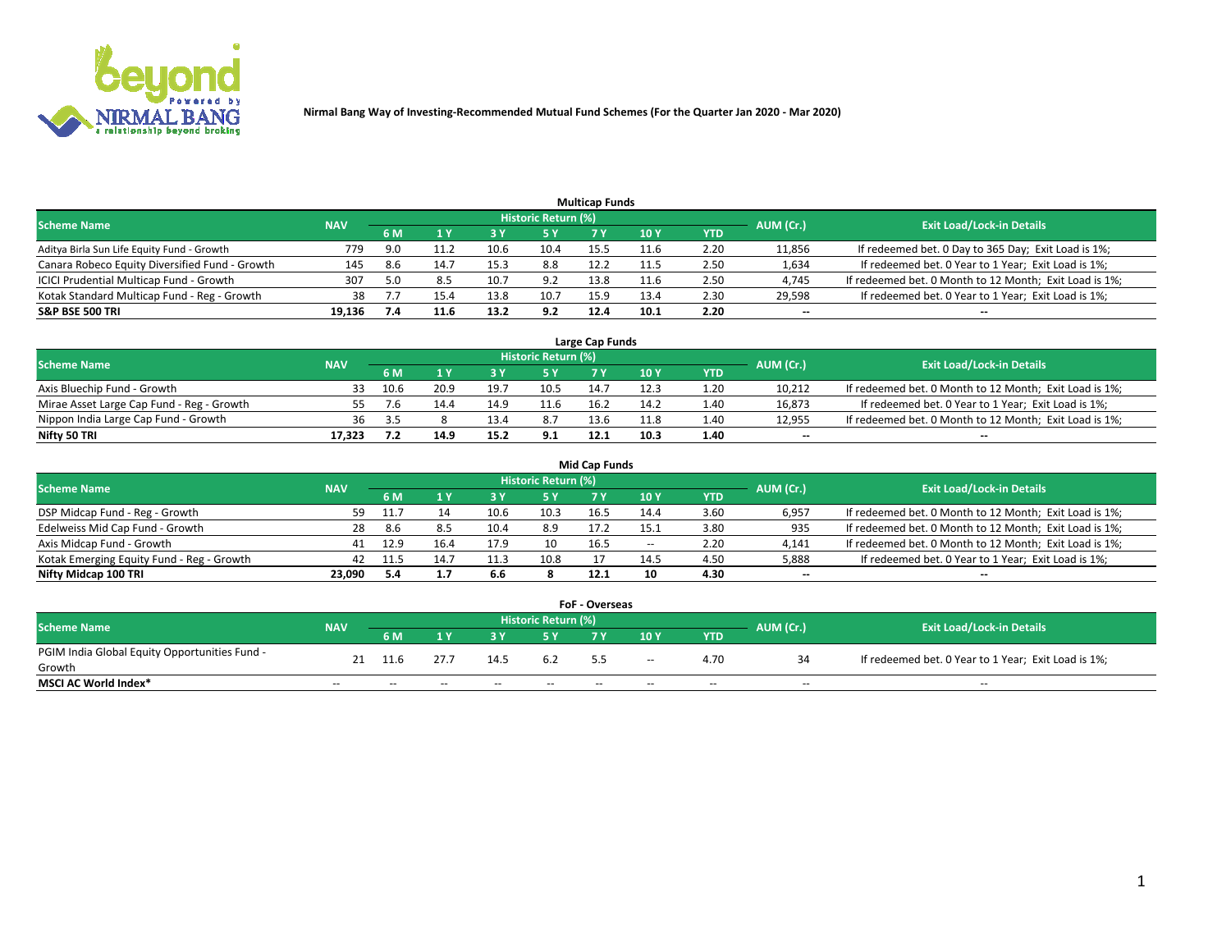

| <b>Multicap Funds</b>                          |            |     |                           |      |                     |      |                 |      |                          |                                                        |  |  |  |  |
|------------------------------------------------|------------|-----|---------------------------|------|---------------------|------|-----------------|------|--------------------------|--------------------------------------------------------|--|--|--|--|
| Scheme Name                                    | <b>NAV</b> |     |                           |      | Historic Return (%) |      |                 |      | AUM (Cr.)                | <b>Exit Load/Lock-in Details</b>                       |  |  |  |  |
|                                                |            | 6 M | $\mathbf{A}$ $\mathbf{V}$ |      | 5 Y                 |      | 10 <sub>Y</sub> | YTD  |                          |                                                        |  |  |  |  |
| Aditya Birla Sun Life Equity Fund - Growth     | 779        | 9.0 | 11.2                      |      | 10.4                | 15.5 |                 | 2.20 | 11,856                   | If redeemed bet. 0 Day to 365 Day; Exit Load is 1%;    |  |  |  |  |
| Canara Robeco Equity Diversified Fund - Growth | 145        | 8.6 | 14.7                      | 15.3 | 8.8                 | 12.2 |                 | 2.50 | 1,634                    | If redeemed bet. 0 Year to 1 Year; Exit Load is 1%;    |  |  |  |  |
| ICICI Prudential Multicap Fund - Growth        | 307        | 5.0 |                           | 10.  | 9.2                 | 13.8 |                 | 2.50 | 4,745                    | If redeemed bet. 0 Month to 12 Month; Exit Load is 1%; |  |  |  |  |
| Kotak Standard Multicap Fund - Reg - Growth    | 38         |     | 15.4                      | 13.8 | 10.7                | 15.9 | 13.4            | 2.30 | 29,598                   | If redeemed bet. 0 Year to 1 Year; Exit Load is 1%;    |  |  |  |  |
| <b>S&amp;P BSE 500 TRI</b>                     | 19.136     |     | 11.6                      | 13.2 | 9.2                 | 12.4 | 10.1            | 2.20 | $\overline{\phantom{a}}$ | $-$                                                    |  |  |  |  |

| Large Cap Funds                           |            |      |      |      |                            |      |      |      |           |                                                        |  |  |  |  |
|-------------------------------------------|------------|------|------|------|----------------------------|------|------|------|-----------|--------------------------------------------------------|--|--|--|--|
| Scheme Name                               | <b>NAV</b> |      |      |      | <b>Historic Return (%)</b> |      |      |      | AUM (Cr.) | <b>Exit Load/Lock-in Details</b>                       |  |  |  |  |
|                                           |            | 6 M  |      |      | 5 Y                        |      | 10Y  | YTD  |           |                                                        |  |  |  |  |
| Axis Bluechip Fund - Growth               |            | 10.6 | 20.9 | 19.  | 10.5                       | 14.  |      | 1.20 | 10,212    | If redeemed bet. 0 Month to 12 Month; Exit Load is 1%; |  |  |  |  |
| Mirae Asset Large Cap Fund - Reg - Growth |            |      |      | 14.9 | 11.6                       | 16.2 | 14.2 | 1.40 | 16,873    | If redeemed bet. 0 Year to 1 Year; Exit Load is 1%;    |  |  |  |  |
| Nippon India Large Cap Fund - Growth      | 36         |      |      |      | 8.7                        | 13.6 | 11.8 | 1.40 | 12,955    | If redeemed bet. 0 Month to 12 Month; Exit Load is 1%; |  |  |  |  |
| Nifty 50 TRI                              | 17.323     |      | 14.9 | 15.2 | 9.1                        | 12.1 | 10.3 | 1.40 | $\sim$    | $\sim$                                                 |  |  |  |  |

|                                           |            |      |      |      |                     | <b>Mid Cap Funds</b> |        |            |           |                                                        |
|-------------------------------------------|------------|------|------|------|---------------------|----------------------|--------|------------|-----------|--------------------------------------------------------|
| <b>Scheme Name</b>                        | <b>NAV</b> |      |      |      | Historic Return (%) |                      |        |            | AUM (Cr.) | <b>Exit Load/Lock-in Details</b>                       |
|                                           |            | 6 M  |      |      |                     |                      | 10Y    | <b>YTD</b> |           |                                                        |
| DSP Midcap Fund - Reg - Growth            | 59         | -11. |      | 10.6 | 10.3                | 16.5                 | 14.4   | 3.60       | 6,957     | If redeemed bet. 0 Month to 12 Month; Exit Load is 1%; |
| Edelweiss Mid Cap Fund - Growth           | 28         | 8.6  | 8.5  | 10.4 | 8.9                 | 17.2                 |        | 3.80       | 935       | If redeemed bet. 0 Month to 12 Month; Exit Load is 1%; |
| Axis Midcap Fund - Growth                 | 41         | 12.9 |      | 17.9 | 10                  | 16.5                 | $\sim$ | 2.20       | 4,141     | If redeemed bet. 0 Month to 12 Month; Exit Load is 1%; |
| Kotak Emerging Equity Fund - Reg - Growth | 42         |      | 14.7 | 11.3 | 10.8                |                      | 14.5   | 4.50       | 5,888     | If redeemed bet. 0 Year to 1 Year; Exit Load is 1%;    |
| Nifty Midcap 100 TRI                      | 23.090     | 5.4  | 1.7  | 6.6  |                     | 12.1                 | 10     | 4.30       | $\sim$    | $- -$                                                  |

| <b>FoF - Overseas</b>                         |            |           |       |       |                            |     |        |            |           |                                                     |  |  |  |
|-----------------------------------------------|------------|-----------|-------|-------|----------------------------|-----|--------|------------|-----------|-----------------------------------------------------|--|--|--|
| <b>Scheme Name</b>                            | <b>NAV</b> |           |       |       | <b>Historic Return (%)</b> |     |        |            | AUM (Cr.) | <b>Exit Load/Lock-in Details</b>                    |  |  |  |
|                                               |            | <b>6M</b> |       |       |                            | 7 V | 10Y    | <b>YTD</b> |           |                                                     |  |  |  |
| PGIM India Global Equity Opportunities Fund - |            |           |       | 14.5  | 6.2                        |     |        | 4.70       |           | If redeemed bet. 0 Year to 1 Year; Exit Load is 1%; |  |  |  |
| Growth                                        | 21         |           |       |       |                            | 5.5 | $\sim$ |            |           |                                                     |  |  |  |
| <b>MSCI AC World Index*</b>                   | $- -$      | $- -$     | $- -$ | $- -$ | $- -$                      |     | $- -$  | $- -$      | $- -$     | $- -$                                               |  |  |  |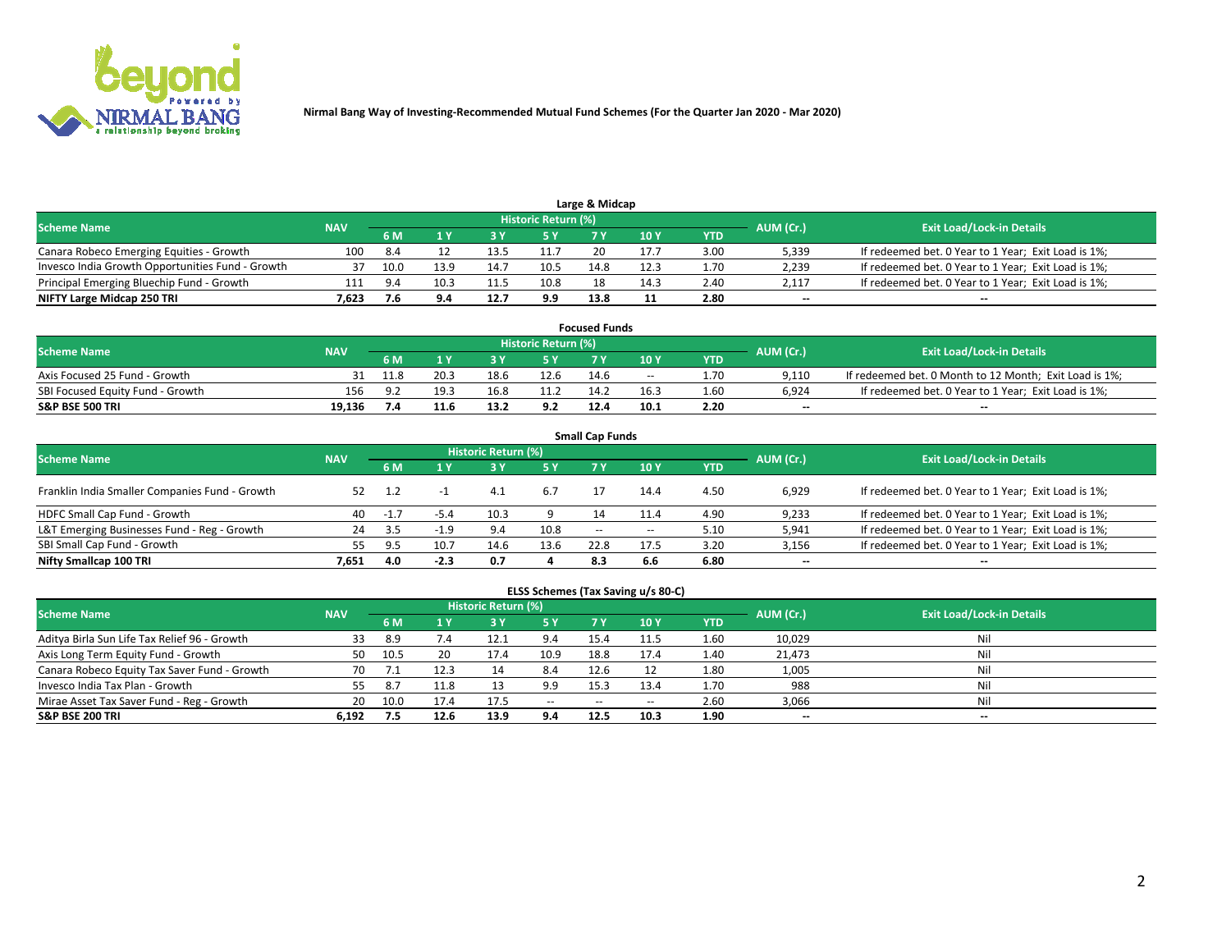

| Large & Midcap<br>Historic Return (%)            |            |      |      |      |      |      |                 |      |           |                                                     |  |  |  |  |
|--------------------------------------------------|------------|------|------|------|------|------|-----------------|------|-----------|-----------------------------------------------------|--|--|--|--|
| <b>Scheme Name</b>                               | <b>NAV</b> | 6 M  |      |      |      |      | 10 <sub>Y</sub> | YTD  | AUM (Cr.) | <b>Exit Load/Lock-in Details</b>                    |  |  |  |  |
| Canara Robeco Emerging Equities - Growth         | 100        | 8.4  |      | 13.5 | 11.7 |      | 17.             | 3.00 | 5,339     | If redeemed bet. 0 Year to 1 Year; Exit Load is 1%; |  |  |  |  |
| Invesco India Growth Opportunities Fund - Growth |            | 10.0 | 13.9 | 14.7 | 10.5 | 14.8 | 12.3            | 1.70 | 2,239     | If redeemed bet. 0 Year to 1 Year; Exit Load is 1%; |  |  |  |  |
| Principal Emerging Bluechip Fund - Growth        | 111        | 9.4  | 10.3 | 11.5 | 10.8 |      | 14.3            | 2.40 | 2,117     | If redeemed bet. 0 Year to 1 Year; Exit Load is 1%; |  |  |  |  |
| NIFTY Large Midcap 250 TRI                       | 7.623      |      | 9.4  | 12.7 | 9.9  | 13.8 |                 | 2.80 | $\sim$    | $- -$                                               |  |  |  |  |

| <b>Focused Funds</b>             |            |            |      |      |                     |      |       |      |           |                                                        |  |  |  |
|----------------------------------|------------|------------|------|------|---------------------|------|-------|------|-----------|--------------------------------------------------------|--|--|--|
| <b>Scheme Name</b>               | <b>NAV</b> |            |      |      | Historic Return (%) |      |       |      |           | <b>Exit Load/Lock-in Details</b>                       |  |  |  |
|                                  |            | <b>6 M</b> |      |      |                     |      | 10 Y  | YTD  | AUM (Cr.) |                                                        |  |  |  |
| Axis Focused 25 Fund - Growth    |            | 11.8       | 20.3 | 18.6 | 12.6                | 14.6 | $- -$ | 1.70 | 9.110     | If redeemed bet. 0 Month to 12 Month; Exit Load is 1%; |  |  |  |
| SBI Focused Equity Fund - Growth | 156        | . a -      | 19.7 |      |                     | 14.2 | 16.3  | 1.60 | 6.924     | If redeemed bet. 0 Year to 1 Year; Exit Load is 1%;    |  |  |  |
| <b>S&amp;P BSE 500 TRI</b>       | 19.136     |            | 11.6 | 13.2 | 9.2                 | 12.4 | 10.1  | 2.20 | $\sim$    | $- -$                                                  |  |  |  |

| <b>Small Cap Funds</b>                         |            |      |        |                     |           |        |       |            |           |                                                     |  |  |  |  |
|------------------------------------------------|------------|------|--------|---------------------|-----------|--------|-------|------------|-----------|-----------------------------------------------------|--|--|--|--|
| <b>Scheme Name</b>                             | <b>NAV</b> |      |        | Historic Return (%) |           |        |       |            |           | <b>Exit Load/Lock-in Details</b>                    |  |  |  |  |
|                                                |            | 6 M  |        |                     | <b>5Y</b> |        | 10Y   | <b>YTD</b> | AUM (Cr.) |                                                     |  |  |  |  |
| Franklin India Smaller Companies Fund - Growth | 52         |      |        | 4.1                 | 6.7       |        | 14.4  | 4.50       | 6,929     | If redeemed bet. 0 Year to 1 Year; Exit Load is 1%; |  |  |  |  |
| HDFC Small Cap Fund - Growth                   | 40         | -1   | $-5.4$ | 10.3                |           |        | 11.4  | 4.90       | 9,233     | If redeemed bet. 0 Year to 1 Year; Exit Load is 1%; |  |  |  |  |
| L&T Emerging Businesses Fund - Reg - Growth    | 24         | -3.5 | $-1.9$ | 9.4                 | 10.8      | $\sim$ | $- -$ | 5.10       | 5,941     | If redeemed bet. 0 Year to 1 Year; Exit Load is 1%; |  |  |  |  |
| SBI Small Cap Fund - Growth                    | 55.        | 9.5  | 10.7   | 14.6                | 13.6      | 22.8   | 17.5  | 3.20       | 3,156     | If redeemed bet. 0 Year to 1 Year; Exit Load is 1%; |  |  |  |  |
| Nifty Smallcap 100 TRI                         | 7.651      | 4.0  | $-2.3$ | 0.7                 |           | 8.3    | 6.6   | 6.80       | $\sim$    | $- -$                                               |  |  |  |  |

## **ELSS Schemes (Tax Saving u/s 80-C)**

| <b>Scheme Name</b>                           | <b>NAV</b> |      |      | <b>Historic Return (%)</b> |               |       |        |      | AUM (Cr.) | <b>Exit Load/Lock-in Details</b> |
|----------------------------------------------|------------|------|------|----------------------------|---------------|-------|--------|------|-----------|----------------------------------|
|                                              |            | 6 M  | 4 Y  | 73 Y                       | <b>5Y</b>     | 7 Y   | $-10V$ | YTD  |           |                                  |
| Aditya Birla Sun Life Tax Relief 96 - Growth | 33         | 8.9  | 7.4  |                            | 9.4           | 15.4  |        | 1.60 | 10,029    | Nil                              |
| Axis Long Term Equity Fund - Growth          | 50         | 10.5 | 20   | 17.4                       | 10.9          | 18.8  | 17.4   | 1.40 | 21,473    | Nil                              |
| Canara Robeco Equity Tax Saver Fund - Growth | 70         |      |      |                            | -8.4          | 12.6  |        | 1.80 | 1,005     | Nil                              |
| Invesco India Tax Plan - Growth              | 55         | 8.7  | 11.8 |                            | 9.9           | 15.3  | 13.4   | 1.70 | 988       | Nil                              |
| Mirae Asset Tax Saver Fund - Reg - Growth    | 20         | 10.0 | 17.4 |                            | $\sim$ $\sim$ | $- -$ | --     | 2.60 | 3,066     | Nil                              |
| S&P BSE 200 TRI                              | 6.192      |      | 12.6 | 13.9                       | 9.4           | 12.5  | 10.3   | 1.90 | $\sim$    | $- -$                            |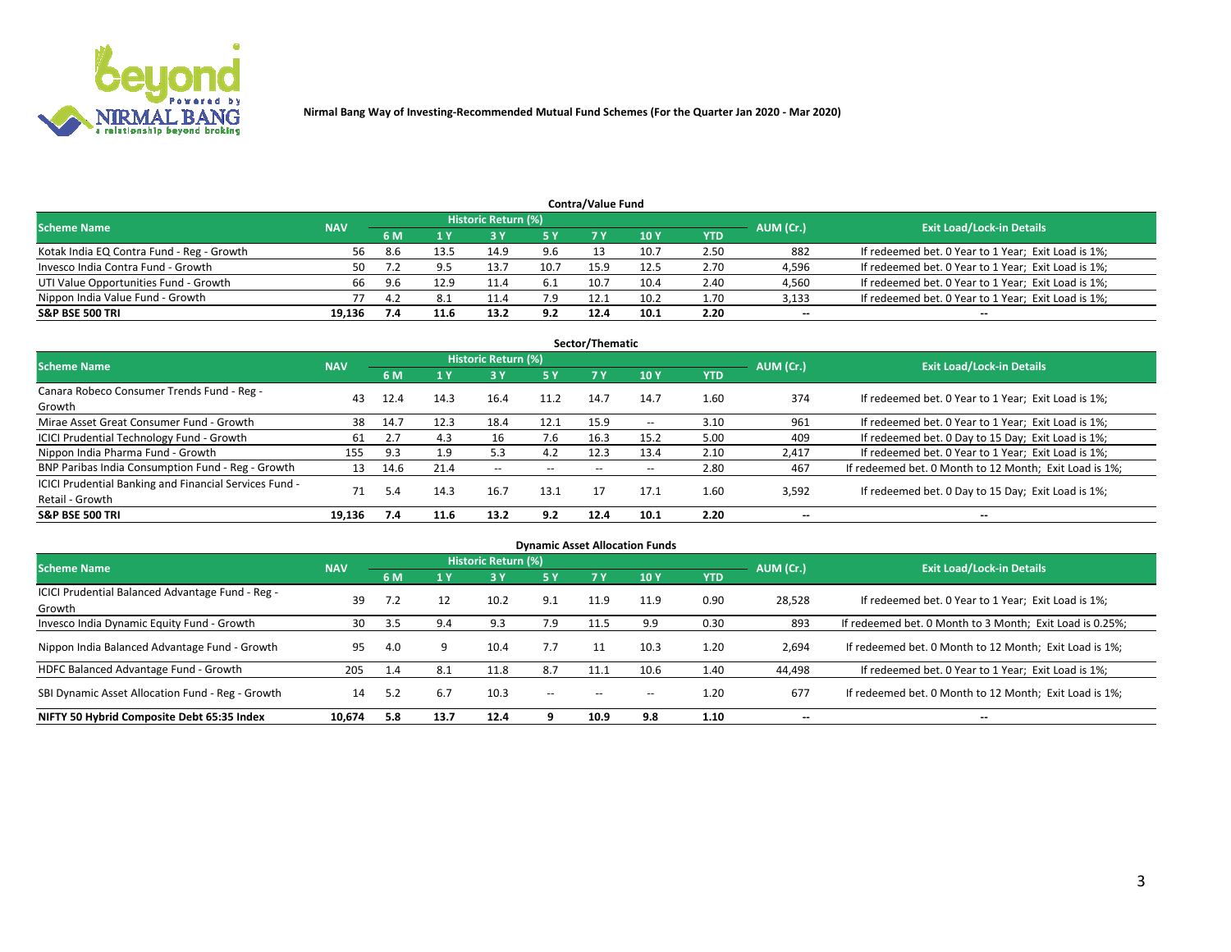

| <b>Contra/Value Fund</b>                                                                                        |        |      |      |      |      |      |      |      |        |                                                     |  |  |  |  |
|-----------------------------------------------------------------------------------------------------------------|--------|------|------|------|------|------|------|------|--------|-----------------------------------------------------|--|--|--|--|
| <b>Historic Return (%)</b><br><b>Exit Load/Lock-in Details</b><br>AUM (Cr.)<br><b>Scheme Name</b><br><b>NAV</b> |        |      |      |      |      |      |      |      |        |                                                     |  |  |  |  |
|                                                                                                                 |        | 6 M  |      |      | 5 Y  | 7 V  | 10Y  | YTD  |        |                                                     |  |  |  |  |
| Kotak India EQ Contra Fund - Reg - Growth                                                                       | 56     | -8.6 | 13.5 | 14.9 | 9.6  |      | 10.7 | 2.50 | 882    | If redeemed bet. 0 Year to 1 Year; Exit Load is 1%; |  |  |  |  |
| Invesco India Contra Fund - Growth                                                                              | 50     |      |      | 13.7 | 10.7 | 15.9 | 12.5 | 2.70 | 4,596  | If redeemed bet. 0 Year to 1 Year; Exit Load is 1%; |  |  |  |  |
| UTI Value Opportunities Fund - Growth                                                                           | 66     | 9.6  | 12.9 | 11.4 | -6.1 | 10.7 | 10.4 | 2.40 | 4,560  | If redeemed bet. 0 Year to 1 Year; Exit Load is 1%; |  |  |  |  |
| Nippon India Value Fund - Growth                                                                                |        | 4.2  |      | 11.4 |      | 12.1 | 10.2 | 1.70 | 3,133  | If redeemed bet. 0 Year to 1 Year; Exit Load is 1%; |  |  |  |  |
| <b>S&amp;P BSE 500 TRI</b>                                                                                      | 19.136 |      | 11.6 | 13.2 | 9.2  | 12.4 | 10.1 | 2.20 | $\sim$ | $- -$                                               |  |  |  |  |

| Sector/Thematic                                                           |            |      |      |                          |       |       |                          |            |                          |                                                        |  |  |  |  |
|---------------------------------------------------------------------------|------------|------|------|--------------------------|-------|-------|--------------------------|------------|--------------------------|--------------------------------------------------------|--|--|--|--|
| <b>Scheme Name</b>                                                        | <b>NAV</b> |      |      | Historic Return (%)      |       |       |                          |            | AUM (Cr.)                | <b>Exit Load/Lock-in Details</b>                       |  |  |  |  |
|                                                                           |            | 6 M  | 1 Y  | 73 Y                     | 5 Y   | 7 Y   | 10Y                      | <b>YTD</b> |                          |                                                        |  |  |  |  |
| Canara Robeco Consumer Trends Fund - Reg -<br>Growth                      | 43         | 12.4 | 14.3 | 16.4                     | 11.2  | 14.7  | 14.7                     | 1.60       | 374                      | If redeemed bet. 0 Year to 1 Year; Exit Load is 1%;    |  |  |  |  |
| Mirae Asset Great Consumer Fund - Growth                                  | 38         | 14.7 | 12.3 | 18.4                     | 12.1  | 15.9  | $\overline{\phantom{a}}$ | 3.10       | 961                      | If redeemed bet. 0 Year to 1 Year; Exit Load is 1%;    |  |  |  |  |
| ICICI Prudential Technology Fund - Growth                                 | 61         |      | 4.3  | 16                       | 7.6   | 16.3  | 15.2                     | 5.00       | 409                      | If redeemed bet. 0 Day to 15 Day; Exit Load is 1%;     |  |  |  |  |
| Nippon India Pharma Fund - Growth                                         | 155        | 9.3  | 1.9  | 5.3                      | 4.2   | 12.3  | 13.4                     | 2.10       | 2,417                    | If redeemed bet. 0 Year to 1 Year; Exit Load is 1%;    |  |  |  |  |
| BNP Paribas India Consumption Fund - Reg - Growth                         | 13         | 14.6 | 21.4 | $\overline{\phantom{a}}$ | $- -$ | $- -$ | $- -$                    | 2.80       | 467                      | If redeemed bet. 0 Month to 12 Month; Exit Load is 1%; |  |  |  |  |
| ICICI Prudential Banking and Financial Services Fund -<br>Retail - Growth | 71         | 5.4  | 14.3 | 16.7                     | 13.1  |       | 17.1                     | 1.60       | 3,592                    | If redeemed bet. 0 Day to 15 Day; Exit Load is 1%;     |  |  |  |  |
| <b>S&amp;P BSE 500 TRI</b>                                                | 19.136     | 7.4  | 11.6 | 13.2                     | 9.2   | 12.4  | 10.1                     | 2.20       | $\overline{\phantom{a}}$ | $\overline{\phantom{a}}$                               |  |  |  |  |

| <b>Dynamic Asset Allocation Funds</b>                      |            |     |      |                     |               |      |                 |            |                          |                                                          |  |  |  |
|------------------------------------------------------------|------------|-----|------|---------------------|---------------|------|-----------------|------------|--------------------------|----------------------------------------------------------|--|--|--|
| <b>Scheme Name</b>                                         | <b>NAV</b> |     |      | Historic Return (%) |               |      |                 |            | AUM (Cr.)                | <b>Exit Load/Lock-in Details</b>                         |  |  |  |
|                                                            |            | 6 M |      | 3 Y                 | 5 Y           | 7 Y  | 10 <sub>Y</sub> | <b>YTD</b> |                          |                                                          |  |  |  |
| ICICI Prudential Balanced Advantage Fund - Reg -<br>Growth | 39         | 7.2 |      | 10.2                | 9.1           | 11.9 | 11.9            | 0.90       | 28,528                   | If redeemed bet. 0 Year to 1 Year; Exit Load is 1%;      |  |  |  |
| Invesco India Dynamic Equity Fund - Growth                 | 30         | 3.5 | 9.4  | 9.3                 | 7.9           | 11.5 | 9.9             | 0.30       | 893                      | If redeemed bet. 0 Month to 3 Month; Exit Load is 0.25%; |  |  |  |
| Nippon India Balanced Advantage Fund - Growth              | 95         | 4.0 | Q    | 10.4                | 7.7           |      | 10.3            | 1.20       | 2,694                    | If redeemed bet. 0 Month to 12 Month; Exit Load is 1%;   |  |  |  |
| HDFC Balanced Advantage Fund - Growth                      | 205        | 1.4 | 8.1  | 11.8                | 8.7           | 11.1 | 10.6            | 1.40       | 44,498                   | If redeemed bet. 0 Year to 1 Year; Exit Load is 1%;      |  |  |  |
| SBI Dynamic Asset Allocation Fund - Reg - Growth           | 14         | 5.2 | 6.7  | 10.3                | $\sim$ $\sim$ | --   | --              | 1.20       | 677                      | If redeemed bet. 0 Month to 12 Month; Exit Load is 1%;   |  |  |  |
| NIFTY 50 Hybrid Composite Debt 65:35 Index                 | 10,674     | 5.8 | 13.7 | 12.4                | a             | 10.9 | 9.8             | 1.10       | $\overline{\phantom{a}}$ | $\overline{\phantom{m}}$                                 |  |  |  |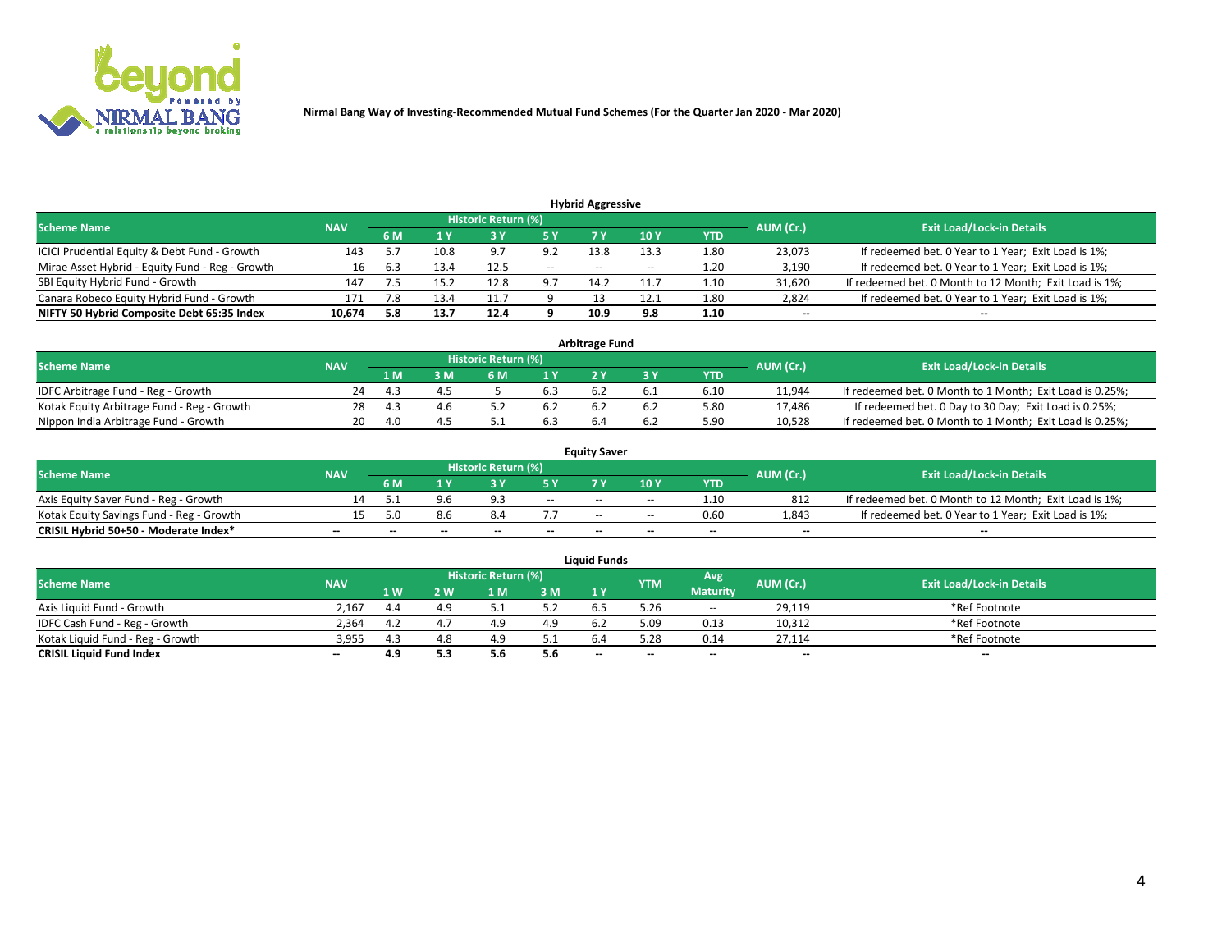

| <b>Hybrid Aggressive</b>                                                                                        |        |     |      |      |        |                          |       |      |                          |                                                        |  |  |  |  |
|-----------------------------------------------------------------------------------------------------------------|--------|-----|------|------|--------|--------------------------|-------|------|--------------------------|--------------------------------------------------------|--|--|--|--|
| <b>Historic Return (%)</b><br><b>Exit Load/Lock-in Details</b><br>AUM (Cr.)<br><b>Scheme Name</b><br><b>NAV</b> |        |     |      |      |        |                          |       |      |                          |                                                        |  |  |  |  |
|                                                                                                                 |        | 6 M |      |      |        |                          | 10Y   | YTD  |                          |                                                        |  |  |  |  |
| ICICI Prudential Equity & Debt Fund - Growth                                                                    | 143    |     | 10.8 | 9.7  | 9.2    | 13.8                     | 13.3  | 1.80 | 23,073                   | If redeemed bet. 0 Year to 1 Year; Exit Load is 1%;    |  |  |  |  |
| Mirae Asset Hybrid - Equity Fund - Reg - Growth                                                                 | 16     | 6.3 | 13.4 | 12.5 | $\sim$ | $\overline{\phantom{a}}$ | $- -$ | 1.20 | 3,190                    | If redeemed bet. 0 Year to 1 Year; Exit Load is 1%;    |  |  |  |  |
| SBI Equity Hybrid Fund - Growth                                                                                 | 147    |     | 15.2 | 12.8 | 9.7    | 14.2                     | 11.7  | 1.10 | 31,620                   | If redeemed bet. 0 Month to 12 Month; Exit Load is 1%; |  |  |  |  |
| Canara Robeco Equity Hybrid Fund - Growth                                                                       | 171    |     | 13.4 |      |        |                          | 12.1  | 1.80 | 2,824                    | If redeemed bet. 0 Year to 1 Year; Exit Load is 1%;    |  |  |  |  |
| NIFTY 50 Hybrid Composite Debt 65:35 Index                                                                      | 10,674 | 5.8 | 13.7 | 12.4 |        | 10.9                     | 9.8   | 1.10 | $\overline{\phantom{a}}$ | $- -$                                                  |  |  |  |  |

|                                            |            |            |                                  |     |                | <b>Arbitrage Fund</b> |            |        |                                                          |
|--------------------------------------------|------------|------------|----------------------------------|-----|----------------|-----------------------|------------|--------|----------------------------------------------------------|
| <b>Scheme Name</b>                         | <b>NAV</b> | AUM (Cr.)  | <b>Exit Load/Lock-in Details</b> |     |                |                       |            |        |                                                          |
|                                            |            | 1 M.       | 3 M                              | 6 M | 1 <sub>V</sub> |                       | <b>YTD</b> |        |                                                          |
| IDFC Arbitrage Fund - Reg - Growth         | 24         | <b>4</b> : |                                  |     |                |                       | 6.10       | 11,944 | If redeemed bet. 0 Month to 1 Month; Exit Load is 0.25%; |
| Kotak Equity Arbitrage Fund - Reg - Growth | 28         | -4.3       | 4.6                              |     | b.Z            |                       | 5.80       | 17,486 | If redeemed bet. 0 Day to 30 Day; Exit Load is 0.25%;    |
| Nippon India Arbitrage Fund - Growth       | 20         | 40         |                                  |     |                |                       | 5.90       | 10.528 | If redeemed bet. 0 Month to 1 Month; Exit Load is 0.25%; |

|                                          |            |           |                                  |                          |                          | <b>Equity Saver</b> |               |            |                          |                                                        |
|------------------------------------------|------------|-----------|----------------------------------|--------------------------|--------------------------|---------------------|---------------|------------|--------------------------|--------------------------------------------------------|
| Scheme Name                              | <b>NAV</b> | AUM (Cr.) | <b>Exit Load/Lock-in Details</b> |                          |                          |                     |               |            |                          |                                                        |
|                                          |            | 6 M       |                                  |                          | 5 Y                      |                     | $\sqrt{10}$ Y | <b>YTD</b> |                          |                                                        |
| Axis Equity Saver Fund - Reg - Growth    |            |           | 9.6                              | $\alpha$                 | $\sim$                   | $- -$               | $- -$         | 1.10       | 812                      | If redeemed bet. 0 Month to 12 Month; Exit Load is 1%; |
| Kotak Equity Savings Fund - Reg - Growth |            | 5.በ       | 8.b                              |                          |                          | $\sim$ $\sim$       | $- -$         | 0.60       | 1,843                    | If redeemed bet. 0 Year to 1 Year; Exit Load is 1%;    |
| CRISIL Hybrid 50+50 - Moderate Index*    |            | $-$       | $-$                              | $\overline{\phantom{a}}$ | $\overline{\phantom{a}}$ | $\sim$              | --            | $- -$      | $\overline{\phantom{a}}$ | $- -$                                                  |

| <b>Liauid Funds</b>              |            |      |     |                            |     |                                                |            |                 |                          |                                  |  |  |  |
|----------------------------------|------------|------|-----|----------------------------|-----|------------------------------------------------|------------|-----------------|--------------------------|----------------------------------|--|--|--|
| <b>Scheme Name</b>               | <b>NAV</b> |      |     | <b>Historic Return (%)</b> |     |                                                | <b>YTM</b> | Avg             | AUM (Cr.)                | <b>Exit Load/Lock-in Details</b> |  |  |  |
|                                  |            | 1 W. | 2 W | 1 M                        | 3N  | 1 Y                                            |            | <b>Maturity</b> |                          |                                  |  |  |  |
| Axis Liquid Fund - Growth        | 2.167      | 4.4  |     |                            | 5.2 |                                                | 5.26       | $\sim$          | 29.119                   | *Ref Footnote                    |  |  |  |
| IDFC Cash Fund - Reg - Growth    | 2.364      | 4.2  |     |                            | 4.9 | 6.2                                            | 5.09       | 0.13            | 10,312                   | *Ref Footnote                    |  |  |  |
| Kotak Liquid Fund - Reg - Growth | 3,955      | 4.3  |     | 4.9                        |     |                                                | 5.28       | 0.14            | 27,114                   | *Ref Footnote                    |  |  |  |
| <b>CRISIL Liquid Fund Index</b>  | $\sim$     | 4.9  | 5.3 | 5.t                        | 5.6 | $\hspace{0.1mm}-\hspace{0.1mm}-\hspace{0.1mm}$ | --         | $\sim$          | $\overline{\phantom{a}}$ | $\sim$                           |  |  |  |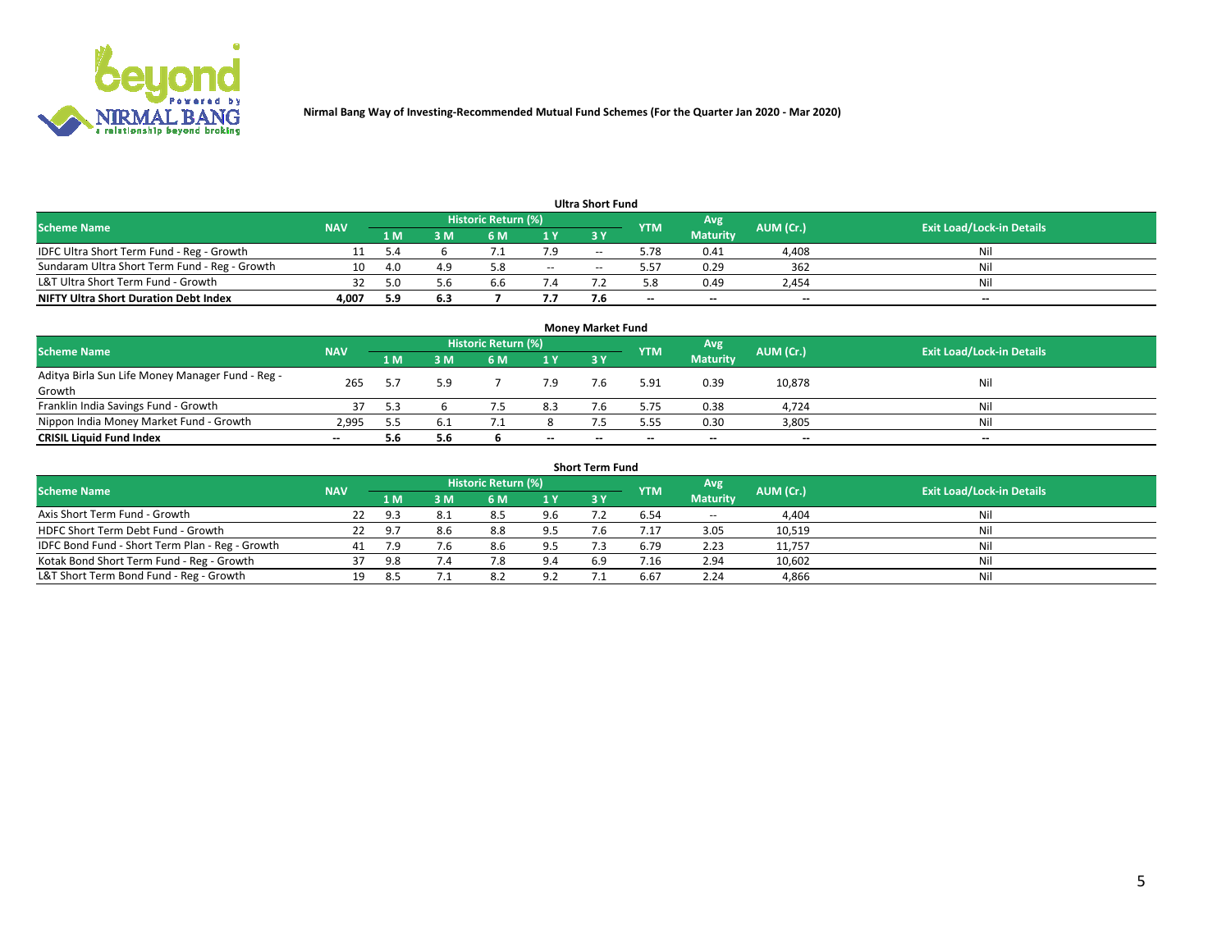

|                                               |            |     |     |                     |        | <b>Ultra Short Fund</b> |            |                 |           |                                  |
|-----------------------------------------------|------------|-----|-----|---------------------|--------|-------------------------|------------|-----------------|-----------|----------------------------------|
| <b>Scheme Name</b>                            | <b>NAV</b> |     |     | Historic Return (%) |        |                         | <b>YTM</b> | 'Avg            | AUM (Cr.) | <b>Exit Load/Lock-in Details</b> |
|                                               |            | 1 M | ßΜ  | 6 M                 | 1Y     | <b>3Y</b>               |            | <b>Maturity</b> |           |                                  |
| IDFC Ultra Short Term Fund - Reg - Growth     |            |     |     |                     | 7.9    | --                      | 5.78       | 0.41            | 4,408     | Nil                              |
| Sundaram Ultra Short Term Fund - Reg - Growth | 10         | 4.0 | 4.9 | 5.8                 | $\sim$ | --                      | ∕ د.د      | 0.29            | 362       | Nil                              |
| L&T Ultra Short Term Fund - Growth            | 32         | 5.0 | 5.6 | 6.6                 |        |                         |            | 0.49            | 2.454     | Nil                              |
| <b>NIFTY Ultra Short Duration Debt Index</b>  | 4,007      | 5.9 | 6.3 |                     | 7.7    |                         | $\sim$     | $-$             | $\sim$    | $\sim$                           |

| <b>Money Market Fund</b>                                   |            |     |     |                     |       |    |            |                 |           |                                  |  |  |  |
|------------------------------------------------------------|------------|-----|-----|---------------------|-------|----|------------|-----------------|-----------|----------------------------------|--|--|--|
| <b>Scheme Name</b>                                         | <b>NAV</b> |     |     | Historic Return (%) |       |    | <b>YTM</b> | 'Avg            | AUM (Cr.) | <b>Exit Load/Lock-in Details</b> |  |  |  |
|                                                            |            | 1 M | 3 M | 6 M                 | 1 Y   | 3Y |            | <b>Maturity</b> |           |                                  |  |  |  |
| Aditya Birla Sun Life Money Manager Fund - Reg -<br>Growth | 265        |     | 5.9 |                     | 7.9   |    | 5.91       | 0.39            | 10,878    | Nil                              |  |  |  |
| Franklin India Savings Fund - Growth                       |            |     |     |                     | 8.3   |    | 5.75       | 0.38            | 4,724     | Nil                              |  |  |  |
| Nippon India Money Market Fund - Growth                    | 2,995      |     | b.l |                     |       |    | 5.55       | 0.30            | 3,805     | Nil                              |  |  |  |
| <b>CRISIL Liquid Fund Index</b>                            | $- -$      | 5.6 | 5.6 |                     | $- -$ | -- | --         | $\sim$          | $\sim$    | $\sim$                           |  |  |  |

| <b>Short Term Fund</b>                          |            |     |     |                            |     |            |            |                 |           |                                  |  |  |  |  |
|-------------------------------------------------|------------|-----|-----|----------------------------|-----|------------|------------|-----------------|-----------|----------------------------------|--|--|--|--|
| <b>Scheme Name</b>                              | <b>NAV</b> |     |     | <b>Historic Return (%)</b> |     |            | <b>YTM</b> | Avg             | AUM (Cr.) | <b>Exit Load/Lock-in Details</b> |  |  |  |  |
|                                                 |            | 1 M | 3 M | 6 M                        | 1Y  | <b>3 Y</b> |            | <b>Maturity</b> |           |                                  |  |  |  |  |
| Axis Short Term Fund - Growth                   |            | 9.3 | 8.1 | -8.5                       | 9.6 |            | 6.54       | $-$             | 4,404     | Nil                              |  |  |  |  |
| HDFC Short Term Debt Fund - Growth              | 22         | 9.7 | 8.6 | 8.8                        | 9.5 |            | 4.17       | 3.05            | 10,519    | Nil                              |  |  |  |  |
| IDFC Bond Fund - Short Term Plan - Reg - Growth | 41         |     | 7.6 | 8.6                        | 9.5 |            | 6.79       | 2.23            | 11,757    | Nil                              |  |  |  |  |
| Kotak Bond Short Term Fund - Reg - Growth       |            | 9.8 | 7.4 |                            | 9.4 | 6.9        | 7.16       | 2.94            | 10,602    | Nil                              |  |  |  |  |
| L&T Short Term Bond Fund - Reg - Growth         |            | 8.5 |     | 8.2                        | 9.2 |            | 6.67       | 2.24            | 4,866     | Nil                              |  |  |  |  |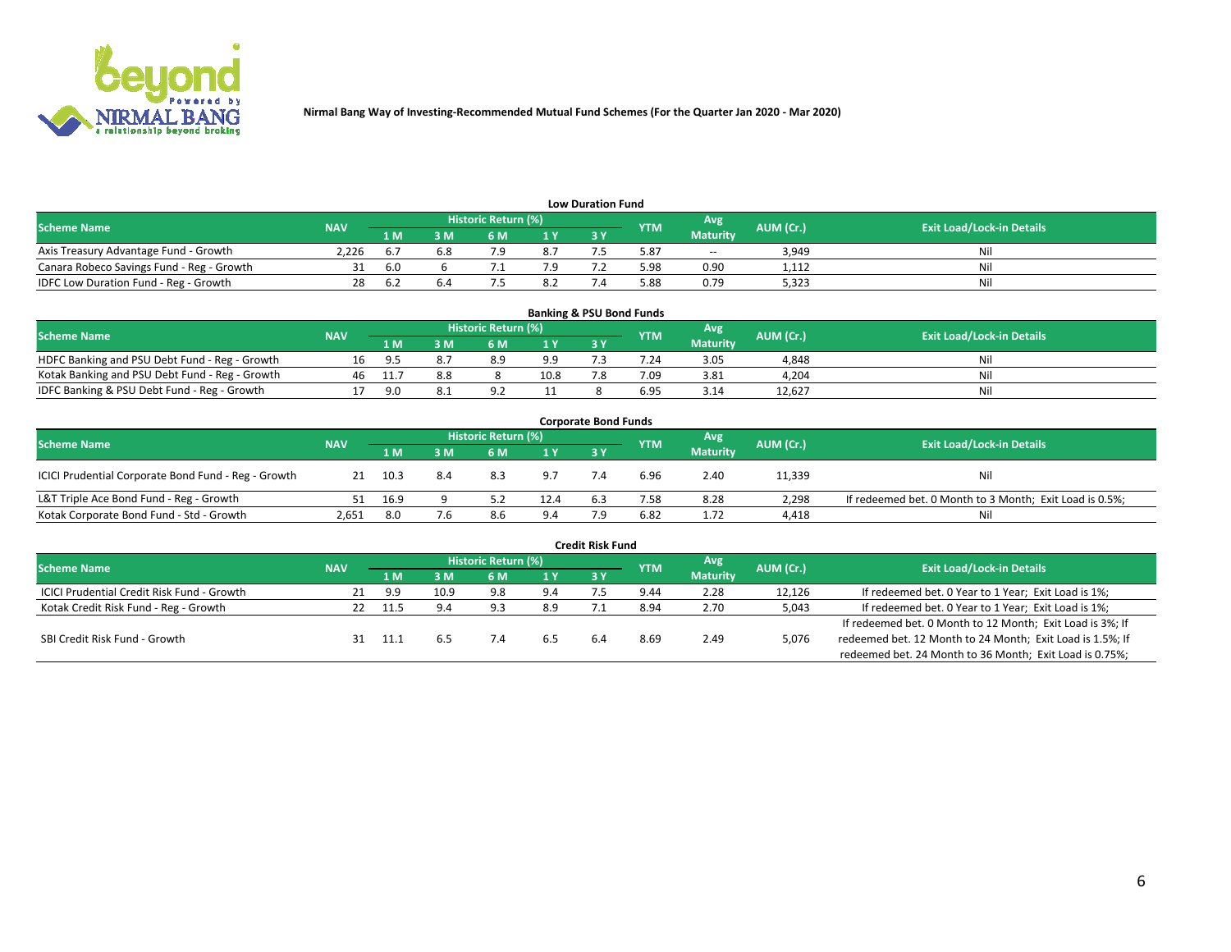

| <b>Low Duration Fund</b>                  |            |      |     |                     |                |     |            |                 |           |                                  |  |  |  |
|-------------------------------------------|------------|------|-----|---------------------|----------------|-----|------------|-----------------|-----------|----------------------------------|--|--|--|
| <b>Scheme Name</b>                        | <b>NAV</b> |      |     | Historic Return (%) |                |     | <b>YTM</b> | Avg             | AUM (Cr.) | <b>Exit Load/Lock-in Details</b> |  |  |  |
|                                           |            | 1 M  | ያ M | 6 M                 | 1 <sub>V</sub> | 3 Y |            | <b>Maturity</b> |           |                                  |  |  |  |
| Axis Treasury Advantage Fund - Growth     | 2.226      | b.r  | 6.8 |                     | 8.7            |     | 5.87       | $- -$           | 3,949     | Nil                              |  |  |  |
| Canara Robeco Savings Fund - Reg - Growth |            | -6.0 |     |                     |                |     | 5.98       | 0.90            | 1,112     | Nil                              |  |  |  |
| IDFC Low Duration Fund - Reg - Growth     | 28         | 6.4  |     |                     | 8.2            |     | 88.د       | 0.79            | 5,323     | Nil                              |  |  |  |

| <b>Banking &amp; PSU Bond Funds</b>            |            |       |    |                            |      |           |            |                 |           |                                  |  |  |  |
|------------------------------------------------|------------|-------|----|----------------------------|------|-----------|------------|-----------------|-----------|----------------------------------|--|--|--|
| <b>Scheme Name</b>                             | <b>NAV</b> |       |    | <b>Historic Return (%)</b> |      |           | <b>YTM</b> | Avg             | AUM (Cr.) | <b>Exit Load/Lock-in Details</b> |  |  |  |
|                                                |            | 1 M   | sм | 6 M                        | 71 Y | <b>3Y</b> |            | <b>Maturity</b> |           |                                  |  |  |  |
| HDFC Banking and PSU Debt Fund - Reg - Growth  | 1b.        | - Q 5 |    | 8.9                        | 9.9  |           | 7.24       | 3.05            | 4,848     | Ni                               |  |  |  |
| Kotak Banking and PSU Debt Fund - Reg - Growth | 46         |       |    |                            | 10.8 |           | 7.09       | 3.81            | 4,204     | Ni                               |  |  |  |
| IDFC Banking & PSU Debt Fund - Reg - Growth    |            | 90    |    |                            |      |           | 6.95       | 3.14            | 12.627    | Ni                               |  |  |  |

| <b>Corporate Bond Funds</b>                                                                                                          |       |      |     |     |      |            |      |                 |        |                                                         |  |  |  |
|--------------------------------------------------------------------------------------------------------------------------------------|-------|------|-----|-----|------|------------|------|-----------------|--------|---------------------------------------------------------|--|--|--|
| <b>Historic Return (%)</b><br>Avg<br>AUM (Cr.)<br><b>Exit Load/Lock-in Details</b><br><b>Scheme Name</b><br><b>NAV</b><br><b>YTM</b> |       |      |     |     |      |            |      |                 |        |                                                         |  |  |  |
|                                                                                                                                      |       | 1 M  | 8 M | 6 M | 1 Y  | <b>3 Y</b> |      | <b>Maturity</b> |        |                                                         |  |  |  |
| ICICI Prudential Corporate Bond Fund - Reg - Growth                                                                                  |       | 10.3 | 8.4 | 8.3 | 9.7  |            | 6.96 | 2.40            | 11,339 | Nil                                                     |  |  |  |
| L&T Triple Ace Bond Fund - Reg - Growth                                                                                              |       | 16.9 |     |     | 12.4 | 6.3        | 7.58 | 8.28            | 2,298  | If redeemed bet. 0 Month to 3 Month; Exit Load is 0.5%; |  |  |  |
| Kotak Corporate Bond Fund - Std - Growth                                                                                             | 2,651 | 8.0  | 7.6 | 8.6 | 9.4  |            | 6.82 | 1.72            | 4,418  | Nil                                                     |  |  |  |

| <b>Credit Risk Fund</b>                           |            |      |      |                            |     |    |            |                 |           |                                                           |  |  |  |
|---------------------------------------------------|------------|------|------|----------------------------|-----|----|------------|-----------------|-----------|-----------------------------------------------------------|--|--|--|
| <b>Scheme Name</b>                                | <b>NAV</b> |      |      | <b>Historic Return (%)</b> |     |    | <b>YTM</b> | 'Avg            | AUM (Cr.) | <b>Exit Load/Lock-in Details</b>                          |  |  |  |
|                                                   |            | 1 M  | 3 M  | 6 M                        | 1 Y | 3Y |            | <b>Maturity</b> |           |                                                           |  |  |  |
| <b>ICICI Prudential Credit Risk Fund - Growth</b> | 21         | 9.9  | 10.9 | 9.8                        | 9.4 |    | 9.44       | 2.28            | 12,126    | If redeemed bet. 0 Year to 1 Year; Exit Load is 1%;       |  |  |  |
| Kotak Credit Risk Fund - Reg - Growth             |            | 11.5 | 9.4  | د ۵                        | 8.9 |    | 8.94       | 2.70            | 5,043     | If redeemed bet. 0 Year to 1 Year; Exit Load is 1%;       |  |  |  |
|                                                   |            |      |      |                            |     |    |            |                 |           | If redeemed bet. 0 Month to 12 Month; Exit Load is 3%; If |  |  |  |
| SBI Credit Risk Fund - Growth                     |            |      |      |                            |     |    | 8.69       | 2.49            | 5,076     | redeemed bet. 12 Month to 24 Month; Exit Load is 1.5%; If |  |  |  |
|                                                   |            |      |      |                            |     |    |            |                 |           | redeemed bet. 24 Month to 36 Month; Exit Load is 0.75%;   |  |  |  |